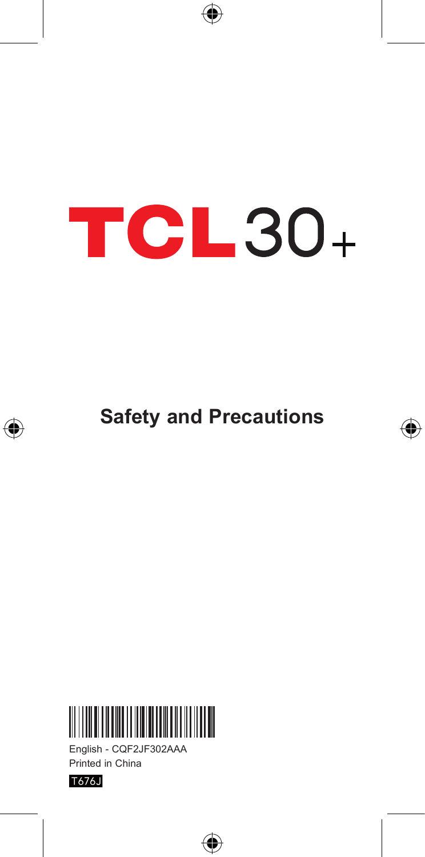# **TCL30+**

⊕

**Safety and Precautions**

⊕



English - CQF2JF302AAA Printed in China



€

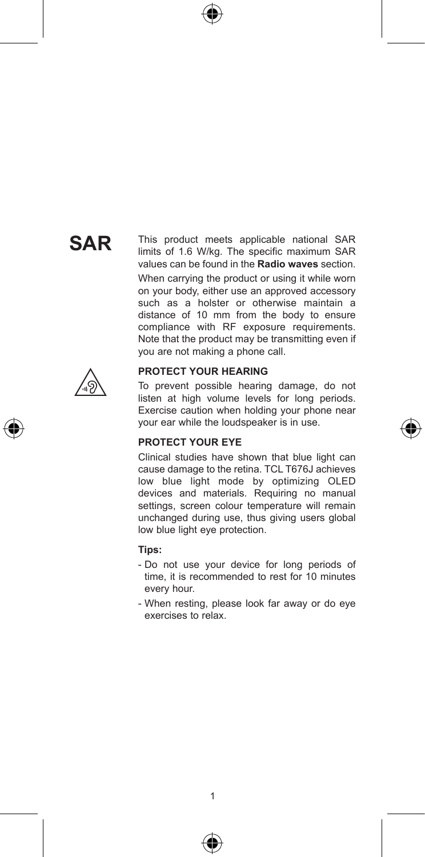# **SAR**

This product meets applicable national SAR limits of 1.6 W/kg. The specific maximum SAR values can be found in the **Radio waves** section. When carrying the product or using it while worn on your body, either use an approved accessory such as a holster or otherwise maintain a distance of 10 mm from the body to ensure compliance with RF exposure requirements. Note that the product may be transmitting even if you are not making a phone call.



#### **PROTECT YOUR HEARING**

To prevent possible hearing damage, do not listen at high volume levels for long periods. Exercise caution when holding your phone near your ear while the loudspeaker is in use.

#### **PROTECT YOUR EYE**

Clinical studies have shown that blue light can cause damage to the retina. TCL T676J achieves low blue light mode by optimizing OLED devices and materials. Requiring no manual settings, screen colour temperature will remain unchanged during use, thus giving users global low blue light eye protection.

#### **Tips:**

- Do not use your device for long periods of time, it is recommended to rest for 10 minutes every hour.
- When resting, please look far away or do eye exercises to relax.



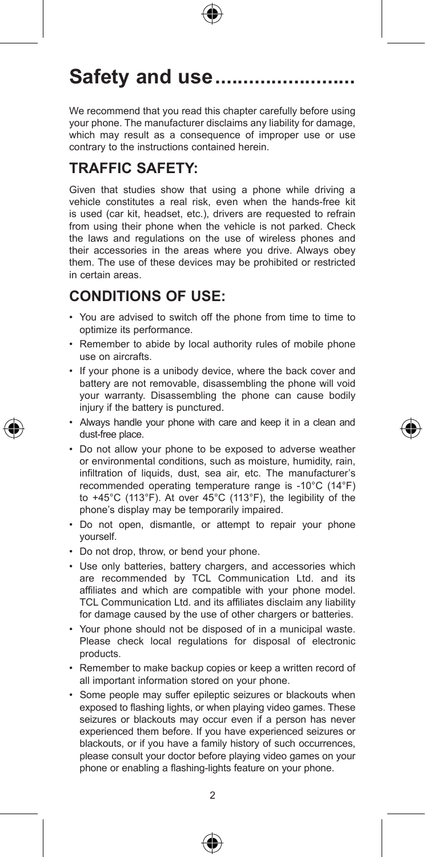# Safety and use............

We recommend that you read this chapter carefully before using your phone. The manufacturer disclaims any liability for damage, which may result as a consequence of improper use or use contrary to the instructions contained herein.

# **TRAFFIC SAFETY:**

Given that studies show that using a phone while driving a vehicle constitutes a real risk, even when the hands-free kit is used (car kit, headset, etc.), drivers are requested to refrain from using their phone when the vehicle is not parked. Check the laws and regulations on the use of wireless phones and their accessories in the areas where you drive. Always obey them. The use of these devices may be prohibited or restricted in certain areas.

## **CONDITIONS OF USE:**

- • You are advised to switch off the phone from time to time to optimize its performance.
- Remember to abide by local authority rules of mobile phone use on aircrafts.
- If your phone is a unibody device, where the back cover and battery are not removable, disassembling the phone will void your warranty. Disassembling the phone can cause bodily injury if the battery is punctured.
- • Always handle your phone with care and keep it in a clean and dust-free place.
- • Do not allow your phone to be exposed to adverse weather or environmental conditions, such as moisture, humidity, rain, infiltration of liquids, dust, sea air, etc. The manufacturer's recommended operating temperature range is -10°C (14°F) to +45°C (113°F). At over 45°C (113°F), the legibility of the phone's display may be temporarily impaired.
- • Do not open, dismantle, or attempt to repair your phone yourself.
- Do not drop, throw, or bend your phone.
- Use only batteries, battery chargers, and accessories which are recommended by TCL Communication Ltd. and its affiliates and which are compatible with your phone model. TCL Communication Ltd. and its affiliates disclaim any liability for damage caused by the use of other chargers or batteries.
- • Your phone should not be disposed of in a municipal waste. Please check local regulations for disposal of electronic products.
- Remember to make backup copies or keep a written record of all important information stored on your phone.
- • Some people may suffer epileptic seizures or blackouts when exposed to flashing lights, or when playing video games. These seizures or blackouts may occur even if a person has never experienced them before. If you have experienced seizures or blackouts, or if you have a family history of such occurrences, please consult your doctor before playing video games on your phone or enabling a flashing-lights feature on your phone.



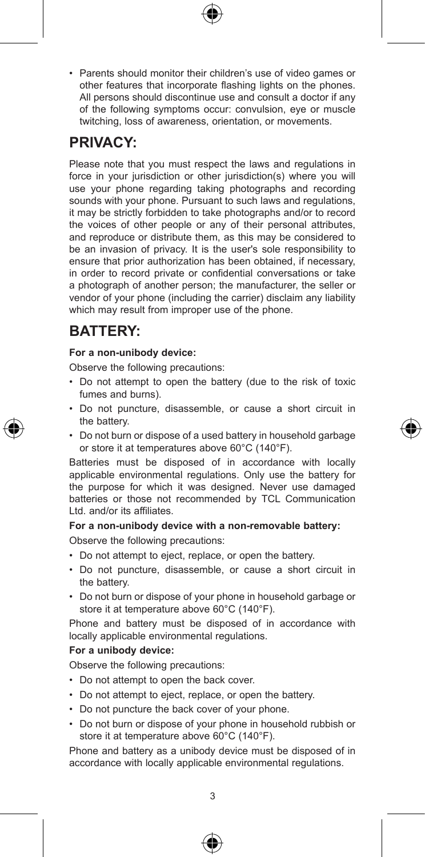- 
- Parents should monitor their children's use of video games or other features that incorporate flashing lights on the phones. All persons should discontinue use and consult a doctor if any of the following symptoms occur: convulsion, eye or muscle twitching, loss of awareness, orientation, or movements.

## **PRIVACY:**

Please note that you must respect the laws and regulations in force in your jurisdiction or other jurisdiction(s) where you will use your phone regarding taking photographs and recording sounds with your phone. Pursuant to such laws and regulations. it may be strictly forbidden to take photographs and/or to record the voices of other people or any of their personal attributes, and reproduce or distribute them, as this may be considered to be an invasion of privacy. It is the user's sole responsibility to ensure that prior authorization has been obtained, if necessary, in order to record private or confidential conversations or take a photograph of another person; the manufacturer, the seller or vendor of your phone (including the carrier) disclaim any liability which may result from improper use of the phone.

## **BATTERY:**

#### **For a non-unibody device:**

Observe the following precautions:

- • Do not attempt to open the battery (due to the risk of toxic fumes and burns).
- • Do not puncture, disassemble, or cause a short circuit in the battery.
- • Do not burn or dispose of a used battery in household garbage or store it at temperatures above 60°C (140°F).

Batteries must be disposed of in accordance with locally applicable environmental regulations. Only use the battery for the purpose for which it was designed. Never use damaged batteries or those not recommended by TCL Communication Ltd. and/or its affiliates.

#### **For a non-unibody device with a non-removable battery:**

Observe the following precautions:

- • Do not attempt to eject, replace, or open the battery.
- • Do not puncture, disassemble, or cause a short circuit in the battery.
- • Do not burn or dispose of your phone in household garbage or store it at temperature above 60°C (140°F).

Phone and battery must be disposed of in accordance with locally applicable environmental regulations.

#### **For a unibody device:**

Observe the following precautions:

- Do not attempt to open the back cover.
- • Do not attempt to eject, replace, or open the battery.
- Do not puncture the back cover of your phone.
- • Do not burn or dispose of your phone in household rubbish or store it at temperature above 60°C (140°F).

Phone and battery as a unibody device must be disposed of in accordance with locally applicable environmental regulations.



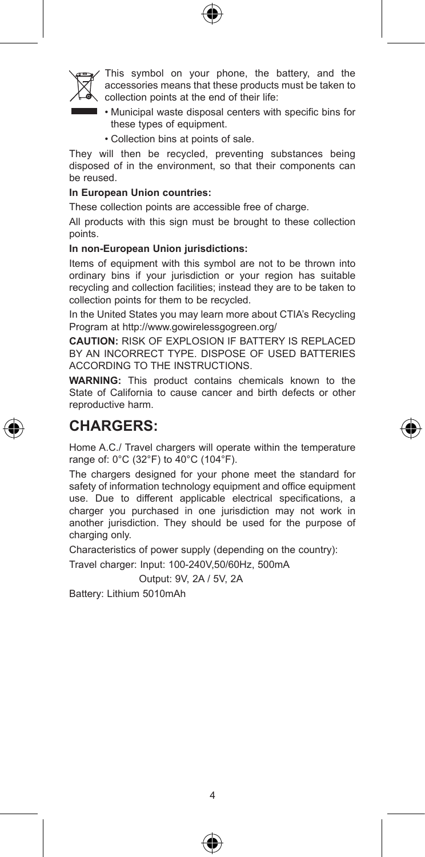

This symbol on your phone, the battery, and the accessories means that these products must be taken to collection points at the end of their life:

- • Municipal waste disposal centers with specific bins for these types of equipment.
- • Collection bins at points of sale.

They will then be recycled, preventing substances being disposed of in the environment, so that their components can be reused.

#### **In European Union countries:**

These collection points are accessible free of charge.

All products with this sign must be brought to these collection points.

#### **In non-European Union jurisdictions:**

Items of equipment with this symbol are not to be thrown into ordinary bins if your jurisdiction or your region has suitable recycling and collection facilities; instead they are to be taken to collection points for them to be recycled.

In the United States you may learn more about CTIA's Recycling Program at http://www.gowirelessgogreen.org/

**CAUTION:** RISK OF EXPLOSION IF BATTERY IS REPLACED BY AN INCORRECT TYPE. DISPOSE OF USED BATTERIES ACCORDING TO THE INSTRUCTIONS.

**WARNING:** This product contains chemicals known to the State of California to cause cancer and birth defects or other reproductive harm.

### **CHARGERS:**

Home A.C./ Travel chargers will operate within the temperature range of: 0°C (32°F) to 40°C (104°F).

The chargers designed for your phone meet the standard for safety of information technology equipment and office equipment use. Due to different applicable electrical specifications, a charger you purchased in one jurisdiction may not work in another jurisdiction. They should be used for the purpose of charging only.

Characteristics of power supply (depending on the country):

Travel charger: Input: 100-240V,50/60Hz, 500mA

Output: 9V, 2A / 5V, 2A

Battery: Lithium 5010mAh



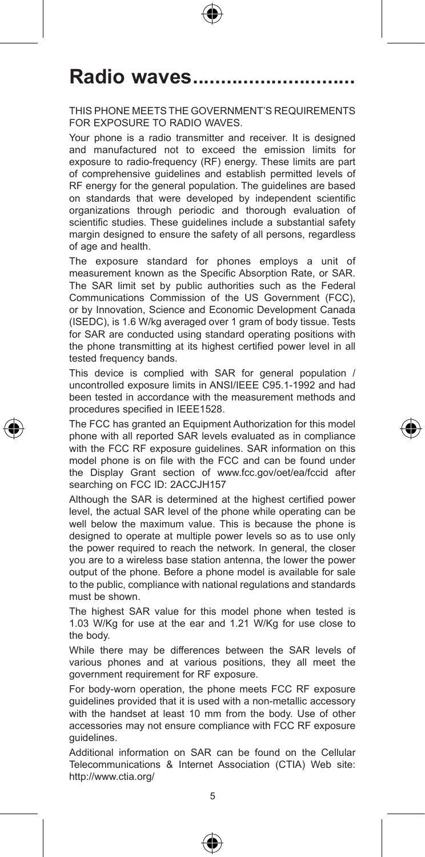# Radio waves.....

#### THIS PHONE MEETS THE GOVERNMENT'S REQUIREMENTS FOR EXPOSURE TO RADIO WAVES.

Your phone is a radio transmitter and receiver. It is designed and manufactured not to exceed the emission limits for exposure to radio-frequency (RF) energy. These limits are part of comprehensive guidelines and establish permitted levels of RF energy for the general population. The guidelines are based on standards that were developed by independent scientific organizations through periodic and thorough evaluation of scientific studies. These guidelines include a substantial safety margin designed to ensure the safety of all persons, regardless of age and health.

The exposure standard for phones employs a unit of measurement known as the Specific Absorption Rate, or SAR. The SAR limit set by public authorities such as the Federal Communications Commission of the US Government (FCC), or by Innovation, Science and Economic Development Canada (ISEDC), is 1.6 W/kg averaged over 1 gram of body tissue. Tests for SAR are conducted using standard operating positions with the phone transmitting at its highest certified power level in all tested frequency bands.

This device is complied with SAR for general population / uncontrolled exposure limits in ANSI/IEEE C95.1-1992 and had been tested in accordance with the measurement methods and procedures specified in IEEE1528.

The FCC has granted an Equipment Authorization for this model phone with all reported SAR levels evaluated as in compliance with the FCC RF exposure guidelines. SAR information on this model phone is on file with the FCC and can be found under the Display Grant section of www.fcc.gov/oet/ea/fccid after searching on FCC ID: 2ACCJH157

Although the SAR is determined at the highest certified power level, the actual SAR level of the phone while operating can be well below the maximum value. This is because the phone is designed to operate at multiple power levels so as to use only the power required to reach the network. In general, the closer you are to a wireless base station antenna, the lower the power output of the phone. Before a phone model is available for sale to the public, compliance with national regulations and standards must be shown.

The highest SAR value for this model phone when tested is 1.03 W/Kg for use at the ear and 1.21 W/Kg for use close to the body.

While there may be differences between the SAR levels of various phones and at various positions, they all meet the government requirement for RF exposure.

For body-worn operation, the phone meets FCC RF exposure guidelines provided that it is used with a non-metallic accessory with the handset at least 10 mm from the body. Use of other accessories may not ensure compliance with FCC RF exposure guidelines.

Additional information on SAR can be found on the Cellular Telecommunications & Internet Association (CTIA) Web site: http://www.ctia.org/



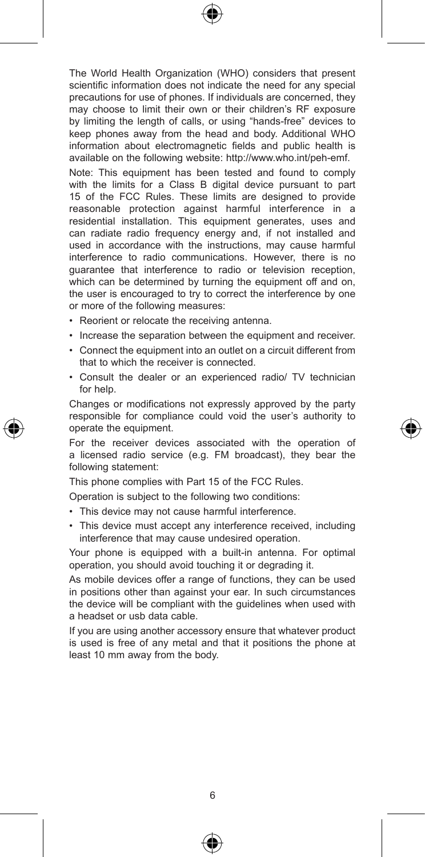The World Health Organization (WHO) considers that present scientific information does not indicate the need for any special precautions for use of phones. If individuals are concerned, they may choose to limit their own or their children's RF exposure by limiting the length of calls, or using "hands-free" devices to keep phones away from the head and body. Additional WHO information about electromagnetic fields and public health is available on the following website: http://www.who.int/peh-emf.

Note: This equipment has been tested and found to comply with the limits for a Class B digital device pursuant to part 15 of the FCC Rules. These limits are designed to provide reasonable protection against harmful interference in a residential installation. This equipment generates, uses and can radiate radio frequency energy and, if not installed and used in accordance with the instructions, may cause harmful interference to radio communications. However, there is no guarantee that interference to radio or television reception, which can be determined by turning the equipment off and on, the user is encouraged to try to correct the interference by one or more of the following measures:

- • Reorient or relocate the receiving antenna.
- Increase the separation between the equipment and receiver.
- • Connect the equipment into an outlet on a circuit different from that to which the receiver is connected.
- • Consult the dealer or an experienced radio/ TV technician for help.

Changes or modifications not expressly approved by the party responsible for compliance could void the user's authority to operate the equipment.

For the receiver devices associated with the operation of a licensed radio service (e.g. FM broadcast), they bear the following statement:

This phone complies with Part 15 of the FCC Rules.

Operation is subject to the following two conditions:

- This device may not cause harmful interference.
- This device must accept any interference received, including interference that may cause undesired operation.

Your phone is equipped with a built-in antenna. For optimal operation, you should avoid touching it or degrading it.

As mobile devices offer a range of functions, they can be used in positions other than against your ear. In such circumstances the device will be compliant with the guidelines when used with a headset or usb data cable.

If you are using another accessory ensure that whatever product is used is free of any metal and that it positions the phone at least 10 mm away from the body.



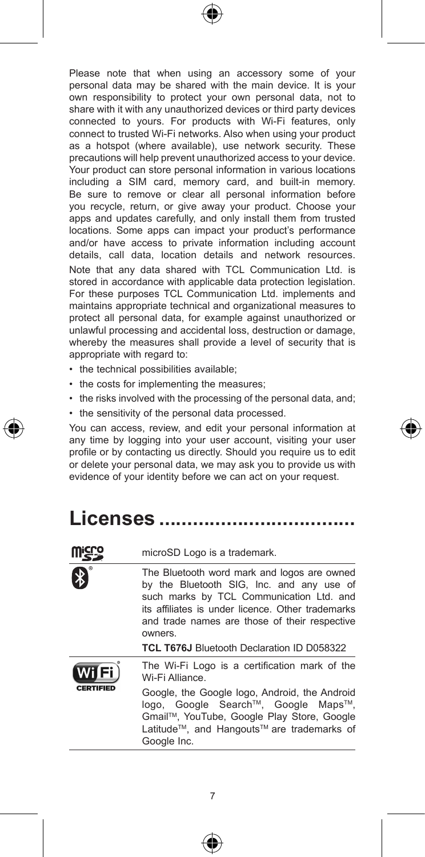Please note that when using an accessory some of your personal data may be shared with the main device. It is your own responsibility to protect your own personal data, not to share with it with any unauthorized devices or third party devices connected to yours. For products with Wi-Fi features, only connect to trusted Wi-Fi networks. Also when using your product as a hotspot (where available), use network security. These precautions will help prevent unauthorized access to your device. Your product can store personal information in various locations including a SIM card, memory card, and built-in memory. Be sure to remove or clear all personal information before you recycle, return, or give away your product. Choose your apps and updates carefully, and only install them from trusted locations. Some apps can impact your product's performance and/or have access to private information including account details, call data, location details and network resources. Note that any data shared with TCL Communication Ltd. is stored in accordance with applicable data protection legislation. For these purposes TCL Communication Ltd. implements and maintains appropriate technical and organizational measures to protect all personal data, for example against unauthorized or unlawful processing and accidental loss, destruction or damage, whereby the measures shall provide a level of security that is appropriate with regard to:

- the technical possibilities available;
- the costs for implementing the measures:
- the risks involved with the processing of the personal data, and;
- the sensitivity of the personal data processed.

You can access, review, and edit your personal information at any time by logging into your user account, visiting your user profile or by contacting us directly. Should you require us to edit or delete your personal data, we may ask you to provide us with evidence of your identity before we can act on your request.

# **Licenses �����������������������������������**

|                  | microSD Logo is a trademark.                                                                                                                                                                                                                                                                               |
|------------------|------------------------------------------------------------------------------------------------------------------------------------------------------------------------------------------------------------------------------------------------------------------------------------------------------------|
| $\, \, \ast \,$  | The Bluetooth word mark and logos are owned<br>by the Bluetooth SIG, Inc. and any use of<br>such marks by TCL Communication Ltd. and<br>its affiliates is under licence. Other trademarks<br>and trade names are those of their respective<br>owners.<br><b>TCL T676J Bluetooth Declaration ID D058322</b> |
| <b>CERTIFIED</b> | The Wi-Fi Logo is a certification mark of the<br>Wi-Fi Alliance.<br>Google, the Google logo, Android, the Android<br>logo, Google Search™, Google Maps™,<br>Gmail™, YouTube, Google Play Store, Google<br>Latitude™, and Hangouts™ are trademarks of<br>Google Inc.                                        |



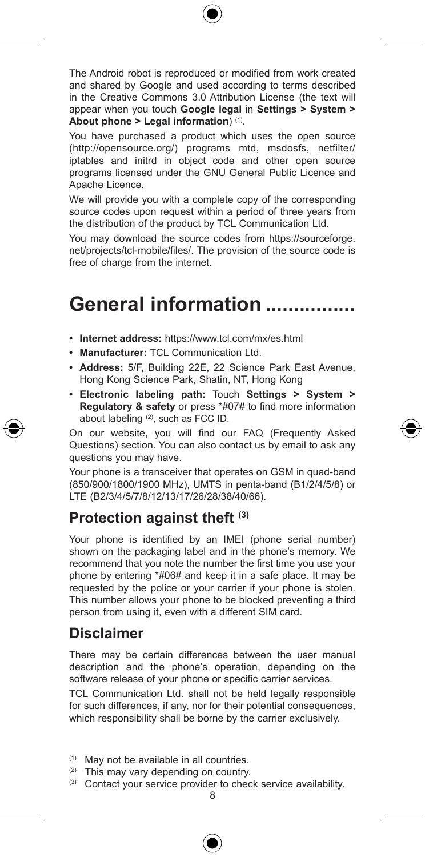

The Android robot is reproduced or modified from work created and shared by Google and used according to terms described in the Creative Commons 3.0 Attribution License (the text will appear when you touch **Google legal** in **Settings > System > About phone > Legal information**) (1).

You have purchased a product which uses the open source (http://opensource.org/) programs mtd, msdosfs, netfilter/ iptables and initrd in object code and other open source programs licensed under the GNU General Public Licence and Apache Licence.

We will provide you with a complete copy of the corresponding source codes upon request within a period of three years from the distribution of the product by TCL Communication Ltd.

You may download the source codes from https://sourceforge. net/projects/tcl-mobile/files/. The provision of the source code is free of charge from the internet.

# General information ................

- **• Internet address:** https://www.tcl.com/mx/es.html
- **• Manufacturer:** TCL Communication Ltd.
- **• Address:** 5/F, Building 22E, 22 Science Park East Avenue, Hong Kong Science Park, Shatin, NT, Hong Kong
- **• Electronic labeling path:** Touch **Settings > System > Regulatory & safety** or press \*#07# to find more information about labeling (2), such as FCC ID.

On our website, you will find our FAQ (Frequently Asked Questions) section. You can also contact us by email to ask any questions you may have.

Your phone is a transceiver that operates on GSM in quad-band (850/900/1800/1900 MHz), UMTS in penta-band (B1/2/4/5/8) or LTE (B2/3/4/5/7/8/12/13/17/26/28/38/40/66).

### **Protection against theft (3)**

Your phone is identified by an IMEI (phone serial number) shown on the packaging label and in the phone's memory. We recommend that you note the number the first time you use your phone by entering \*#06# and keep it in a safe place. It may be requested by the police or your carrier if your phone is stolen. This number allows your phone to be blocked preventing a third person from using it, even with a different SIM card.

### **Disclaimer**

There may be certain differences between the user manual description and the phone's operation, depending on the software release of your phone or specific carrier services.

TCL Communication Ltd. shall not be held legally responsible for such differences, if any, nor for their potential consequences, which responsibility shall be borne by the carrier exclusively.

- (1) May not be available in all countries.
- (2) This may vary depending on country.
- (3) Contact your service provider to check service availability.



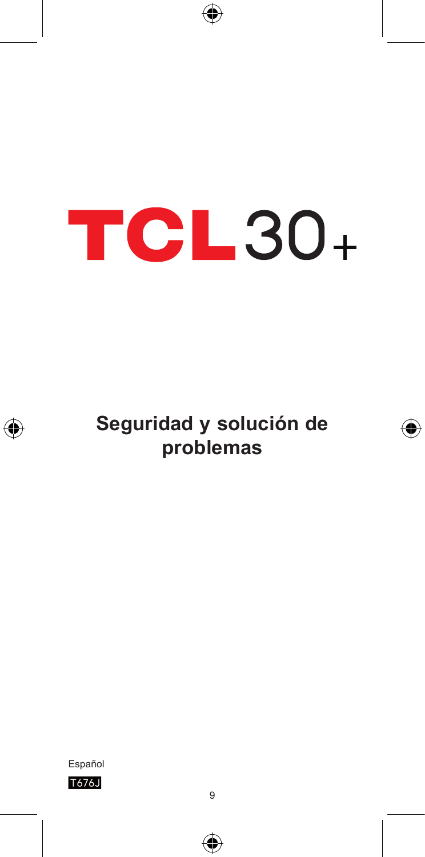# **TCL30+**

⊕



**Seguridad y solución de problemas**

⊕





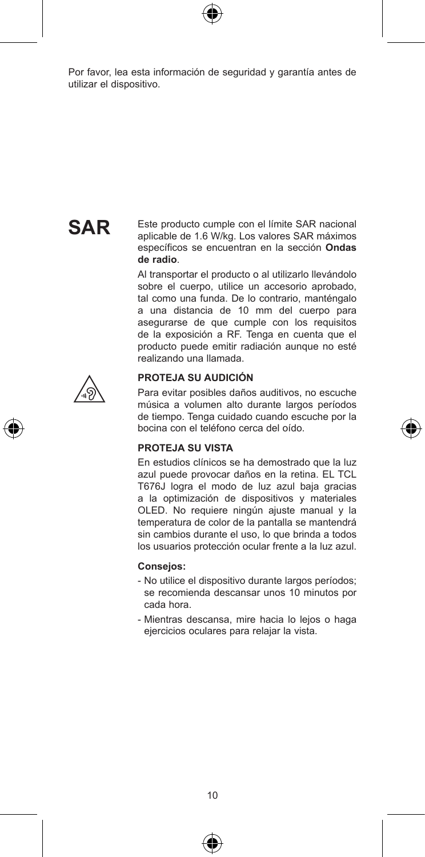

Por favor, lea esta información de seguridad y garantía antes de utilizar el dispositivo.

# **SAR**

Este producto cumple con el límite SAR nacional aplicable de 1.6 W/kg. Los valores SAR máximos específicos se encuentran en la sección **Ondas de radio**.

Al transportar el producto o al utilizarlo llevándolo sobre el cuerpo, utilice un accesorio aprobado, tal como una funda. De lo contrario, manténgalo a una distancia de 10 mm del cuerpo para asegurarse de que cumple con los requisitos de la exposición a RF. Tenga en cuenta que el producto puede emitir radiación aunque no esté realizando una llamada.





Para evitar posibles daños auditivos, no escuche música a volumen alto durante largos períodos de tiempo. Tenga cuidado cuando escuche por la bocina con el teléfono cerca del oído.

#### **PROTEJA SU VISTA**

En estudios clínicos se ha demostrado que la luz azul puede provocar daños en la retina. EL TCL T676J logra el modo de luz azul baja gracias a la optimización de dispositivos y materiales OLED. No requiere ningún ajuste manual y la temperatura de color de la pantalla se mantendrá sin cambios durante el uso, lo que brinda a todos los usuarios protección ocular frente a la luz azul.

#### **Consejos:**

- No utilice el dispositivo durante largos períodos; se recomienda descansar unos 10 minutos por cada hora.
- Mientras descansa, mire hacia lo lejos o haga ejercicios oculares para relajar la vista.



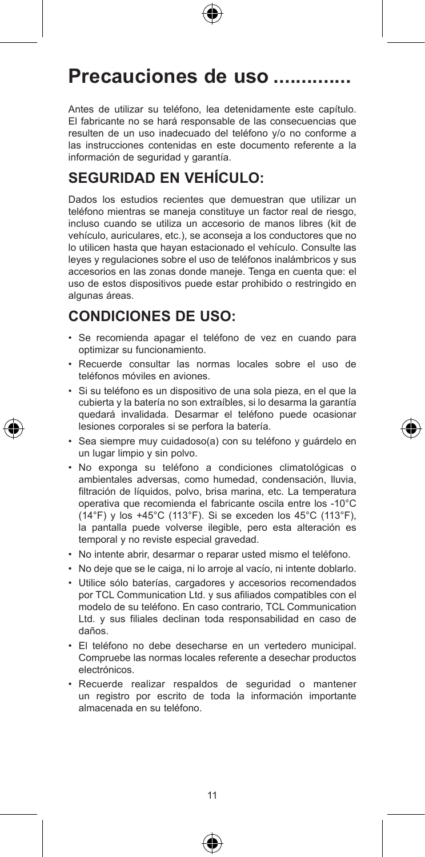

# Precauciones de uso ..............

Antes de utilizar su teléfono, lea detenidamente este capítulo. El fabricante no se hará responsable de las consecuencias que resulten de un uso inadecuado del teléfono y/o no conforme a las instrucciones contenidas en este documento referente a la información de seguridad y garantía.

## **SEGURIDAD EN VEHÍCULO:**

Dados los estudios recientes que demuestran que utilizar un teléfono mientras se maneja constituye un factor real de riesgo, incluso cuando se utiliza un accesorio de manos libres (kit de vehículo, auriculares, etc.), se aconseja a los conductores que no lo utilicen hasta que hayan estacionado el vehículo. Consulte las leyes y regulaciones sobre el uso de teléfonos inalámbricos y sus accesorios en las zonas donde maneje. Tenga en cuenta que: el uso de estos dispositivos puede estar prohibido o restringido en algunas áreas.

## **CONDICIONES DE USO:**

- • Se recomienda apagar el teléfono de vez en cuando para optimizar su funcionamiento.
- • Recuerde consultar las normas locales sobre el uso de teléfonos móviles en aviones.
- • Si su teléfono es un dispositivo de una sola pieza, en el que la cubierta y la batería no son extraíbles, si lo desarma la garantía quedará invalidada. Desarmar el teléfono puede ocasionar lesiones corporales si se perfora la batería.
- • Sea siempre muy cuidadoso(a) con su teléfono y guárdelo en un lugar limpio y sin polvo.
- • No exponga su teléfono a condiciones climatológicas o ambientales adversas, como humedad, condensación, lluvia, filtración de líquidos, polvo, brisa marina, etc. La temperatura operativa que recomienda el fabricante oscila entre los -10°C (14°F) y los +45°C (113°F). Si se exceden los 45°C (113°F), la pantalla puede volverse ilegible, pero esta alteración es temporal y no reviste especial gravedad.
- • No intente abrir, desarmar o reparar usted mismo el teléfono.
- • No deje que se le caiga, ni lo arroje al vacío, ni intente doblarlo.
- • Utilice sólo baterías, cargadores y accesorios recomendados por TCL Communication Ltd. y sus afiliados compatibles con el modelo de su teléfono. En caso contrario, TCL Communication Ltd. y sus filiales declinan toda responsabilidad en caso de daños.
- • El teléfono no debe desecharse en un vertedero municipal. Compruebe las normas locales referente a desechar productos electrónicos.
- • Recuerde realizar respaldos de seguridad o mantener un registro por escrito de toda la información importante almacenada en su teléfono.





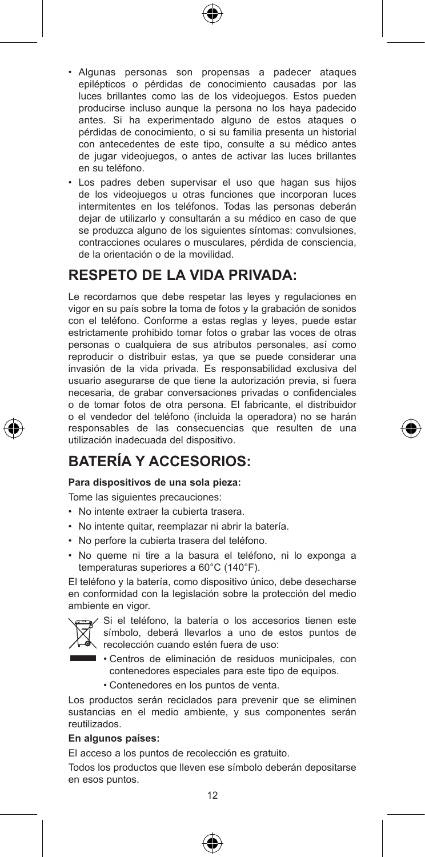- • Algunas personas son propensas a padecer ataques epilépticos o pérdidas de conocimiento causadas por las luces brillantes como las de los videojuegos. Estos pueden producirse incluso aunque la persona no los haya padecido antes. Si ha experimentado alguno de estos ataques o pérdidas de conocimiento, o si su familia presenta un historial con antecedentes de este tipo, consulte a su médico antes de jugar videojuegos, o antes de activar las luces brillantes en su teléfono.
- • Los padres deben supervisar el uso que hagan sus hijos de los videojuegos u otras funciones que incorporan luces intermitentes en los teléfonos. Todas las personas deberán dejar de utilizarlo y consultarán a su médico en caso de que se produzca alguno de los siguientes síntomas: convulsiones, contracciones oculares o musculares, pérdida de consciencia, de la orientación o de la movilidad.

## **RESPETO DE LA VIDA PRIVADA:**

Le recordamos que debe respetar las leyes y regulaciones en vigor en su país sobre la toma de fotos y la grabación de sonidos con el teléfono. Conforme a estas reglas y leyes, puede estar estrictamente prohibido tomar fotos o grabar las voces de otras personas o cualquiera de sus atributos personales, así como reproducir o distribuir estas, ya que se puede considerar una invasión de la vida privada. Es responsabilidad exclusiva del usuario asegurarse de que tiene la autorización previa, si fuera necesaria, de grabar conversaciones privadas o confidenciales o de tomar fotos de otra persona. El fabricante, el distribuidor o el vendedor del teléfono (incluida la operadora) no se harán responsables de las consecuencias que resulten de una utilización inadecuada del dispositivo.

## **BATERÍA Y ACCESORIOS:**

#### **Para dispositivos de una sola pieza:**

Tome las siguientes precauciones:

- • No intente extraer la cubierta trasera.
- • No intente quitar, reemplazar ni abrir la batería.
- • No perfore la cubierta trasera del teléfono.
- • No queme ni tire a la basura el teléfono, ni lo exponga a temperaturas superiores a 60°C (140°F).

El teléfono y la batería, como dispositivo único, debe desecharse en conformidad con la legislación sobre la protección del medio ambiente en vigor.



Si el teléfono, la batería o los accesorios tienen este símbolo, deberá llevarlos a uno de estos puntos de recolección cuando estén fuera de uso:

- **Centros de eliminación de residuos municipales, con** contenedores especiales para este tipo de equipos.
	- • Contenedores en los puntos de venta.

Los productos serán reciclados para prevenir que se eliminen sustancias en el medio ambiente, y sus componentes serán reutilizados.

#### **En algunos países:**

El acceso a los puntos de recolección es gratuito.

Todos los productos que lleven ese símbolo deberán depositarse en esos puntos.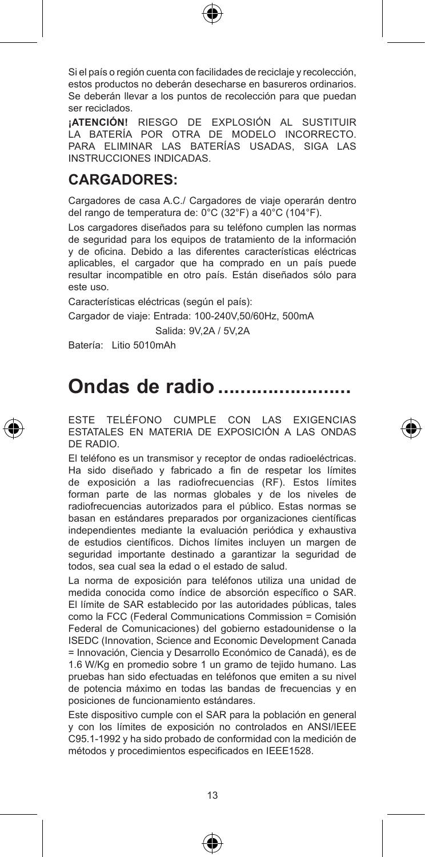Si el país o región cuenta con facilidades de reciclaje y recolección, estos productos no deberán desecharse en basureros ordinarios. Se deberán llevar a los puntos de recolección para que puedan ser reciclados.

**¡ATENCIÓN!** RIESGO DE EXPLOSIÓN AL SUSTITUIR LA BATERÍA POR OTRA DE MODELO INCORRECTO. PARA ELIMINAR LAS BATERÍAS USADAS, SIGA LAS INSTRUCCIONES INDICADAS.

## **CARGADORES:**

Cargadores de casa A.C./ Cargadores de viaje operarán dentro del rango de temperatura de: 0°C (32°F) a 40°C (104°F).

Los cargadores diseñados para su teléfono cumplen las normas de seguridad para los equipos de tratamiento de la información y de oficina. Debido a las diferentes características eléctricas aplicables, el cargador que ha comprado en un país puede resultar incompatible en otro país. Están diseñados sólo para este uso.

Características eléctricas (según el país):

Cargador de viaje: Entrada: 100-240V,50/60Hz, 500mA

Salida: 9V,2A / 5V,2A

Batería: Litio 5010mAh

# **Ondas de radio ������������������������**

ESTE TELÉFONO CUMPLE CON LAS EXIGENCIAS ESTATALES EN MATERIA DE EXPOSICIÓN A LAS ONDAS DE RADIO.

El teléfono es un transmisor y receptor de ondas radioeléctricas. Ha sido diseñado y fabricado a fin de respetar los límites de exposición a las radiofrecuencias (RF). Estos límites forman parte de las normas globales y de los niveles de radiofrecuencias autorizados para el público. Estas normas se basan en estándares preparados por organizaciones científicas independientes mediante la evaluación periódica y exhaustiva de estudios científicos. Dichos límites incluyen un margen de seguridad importante destinado a garantizar la seguridad de todos, sea cual sea la edad o el estado de salud.

La norma de exposición para teléfonos utiliza una unidad de medida conocida como índice de absorción específico o SAR. El límite de SAR establecido por las autoridades públicas, tales como la FCC (Federal Communications Commission = Comisión Federal de Comunicaciones) del gobierno estadounidense o la ISEDC (Innovation, Science and Economic Development Canada = Innovación, Ciencia y Desarrollo Económico de Canadá), es de 1.6 W/Kg en promedio sobre 1 un gramo de tejido humano. Las pruebas han sido efectuadas en teléfonos que emiten a su nivel de potencia máximo en todas las bandas de frecuencias y en posiciones de funcionamiento estándares.

Este dispositivo cumple con el SAR para la población en general y con los límites de exposición no controlados en ANSI/IEEE C95.1-1992 y ha sido probado de conformidad con la medición de métodos y procedimientos especificados en IEEE1528.

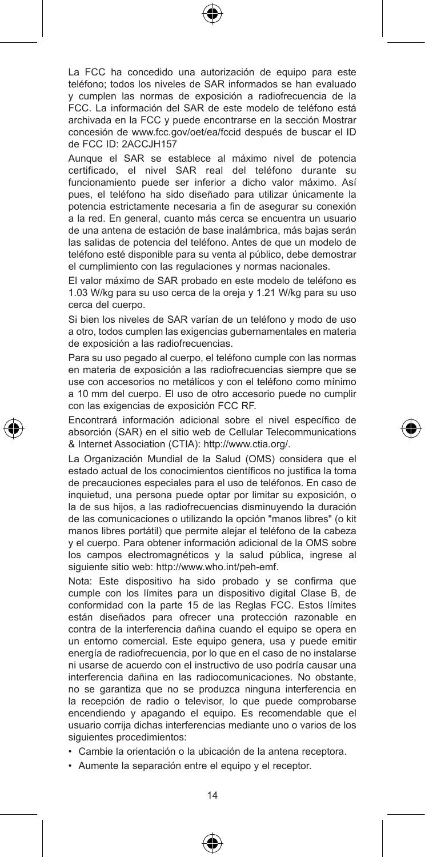La FCC ha concedido una autorización de equipo para este teléfono; todos los niveles de SAR informados se han evaluado y cumplen las normas de exposición a radiofrecuencia de la FCC. La información del SAR de este modelo de teléfono está archivada en la FCC y puede encontrarse en la sección Mostrar concesión de www.fcc.gov/oet/ea/fccid después de buscar el ID de FCC ID: 2ACCJH157

Aunque el SAR se establece al máximo nivel de potencia certificado, el nivel SAR real del teléfono durante su funcionamiento puede ser inferior a dicho valor máximo. Así pues, el teléfono ha sido diseñado para utilizar únicamente la potencia estrictamente necesaria a fin de asegurar su conexión a la red. En general, cuanto más cerca se encuentra un usuario de una antena de estación de base inalámbrica, más bajas serán las salidas de potencia del teléfono. Antes de que un modelo de teléfono esté disponible para su venta al público, debe demostrar el cumplimiento con las regulaciones y normas nacionales.

El valor máximo de SAR probado en este modelo de teléfono es 1.03 W/kg para su uso cerca de la oreja y 1.21 W/kg para su uso cerca del cuerpo.

Si bien los niveles de SAR varían de un teléfono y modo de uso a otro, todos cumplen las exigencias gubernamentales en materia de exposición a las radiofrecuencias.

Para su uso pegado al cuerpo, el teléfono cumple con las normas en materia de exposición a las radiofrecuencias siempre que se use con accesorios no metálicos y con el teléfono como mínimo a 10 mm del cuerpo. El uso de otro accesorio puede no cumplir con las exigencias de exposición FCC RF.

Encontrará información adicional sobre el nivel específico de absorción (SAR) en el sitio web de Cellular Telecommunications & Internet Association (CTIA): http://www.ctia.org/.

La Organización Mundial de la Salud (OMS) considera que el estado actual de los conocimientos científicos no justifica la toma de precauciones especiales para el uso de teléfonos. En caso de inquietud, una persona puede optar por limitar su exposición, o la de sus hijos, a las radiofrecuencias disminuyendo la duración de las comunicaciones o utilizando la opción "manos libres" (o kit manos libres portátil) que permite alejar el teléfono de la cabeza y el cuerpo. Para obtener información adicional de la OMS sobre los campos electromagnéticos y la salud pública, ingrese al siguiente sitio web: http://www.who.int/peh-emf.

Nota: Este dispositivo ha sido probado y se confirma que cumple con los límites para un dispositivo digital Clase B, de conformidad con la parte 15 de las Reglas FCC. Estos límites están diseñados para ofrecer una protección razonable en contra de la interferencia dañina cuando el equipo se opera en un entorno comercial. Este equipo genera, usa y puede emitir energía de radiofrecuencia, por lo que en el caso de no instalarse ni usarse de acuerdo con el instructivo de uso podría causar una interferencia dañina en las radiocomunicaciones. No obstante, no se garantiza que no se produzca ninguna interferencia en la recepción de radio o televisor, lo que puede comprobarse encendiendo y apagando el equipo. Es recomendable que el usuario corrija dichas interferencias mediante uno o varios de los siguientes procedimientos:

- • Cambie la orientación o la ubicación de la antena receptora.
- • Aumente la separación entre el equipo y el receptor.



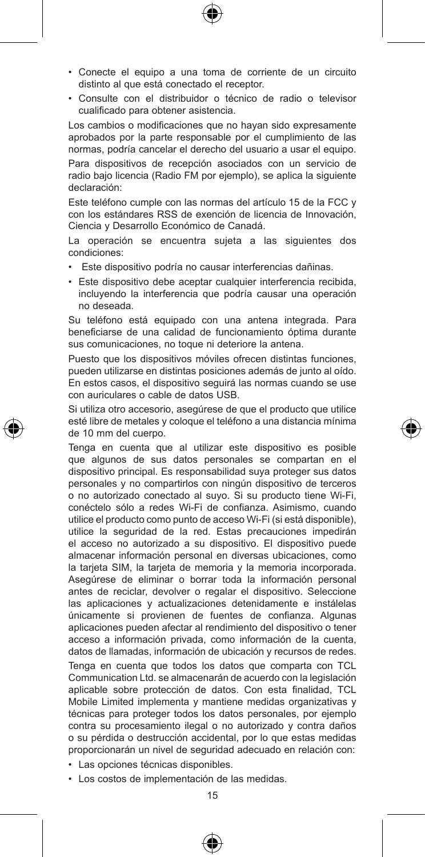- • Conecte el equipo a una toma de corriente de un circuito distinto al que está conectado el receptor.
- • Consulte con el distribuidor o técnico de radio o televisor cualificado para obtener asistencia.

Los cambios o modificaciones que no hayan sido expresamente aprobados por la parte responsable por el cumplimiento de las normas, podría cancelar el derecho del usuario a usar el equipo.

Para dispositivos de recepción asociados con un servicio de radio bajo licencia (Radio FM por ejemplo), se aplica la siguiente declaración:

Este teléfono cumple con las normas del artículo 15 de la FCC y con los estándares RSS de exención de licencia de Innovación, Ciencia y Desarrollo Económico de Canadá.

La operación se encuentra sujeta a las siguientes dos condiciones:

- • Este dispositivo podría no causar interferencias dañinas.
- • Este dispositivo debe aceptar cualquier interferencia recibida, incluyendo la interferencia que podría causar una operación no deseada.

Su teléfono está equipado con una antena integrada. Para beneficiarse de una calidad de funcionamiento óptima durante sus comunicaciones, no toque ni deteriore la antena.

Puesto que los dispositivos móviles ofrecen distintas funciones, pueden utilizarse en distintas posiciones además de junto al oído. En estos casos, el dispositivo seguirá las normas cuando se use con auriculares o cable de datos USB.

Si utiliza otro accesorio, asegúrese de que el producto que utilice esté libre de metales y coloque el teléfono a una distancia mínima de 10 mm del cuerpo.

Tenga en cuenta que al utilizar este dispositivo es posible que algunos de sus datos personales se compartan en el dispositivo principal. Es responsabilidad suya proteger sus datos personales y no compartirlos con ningún dispositivo de terceros o no autorizado conectado al suyo. Si su producto tiene Wi-Fi, conéctelo sólo a redes Wi-Fi de confianza. Asimismo, cuando utilice el producto como punto de acceso Wi-Fi (si está disponible), utilice la seguridad de la red. Estas precauciones impedirán el acceso no autorizado a su dispositivo. El dispositivo puede almacenar información personal en diversas ubicaciones, como la tarjeta SIM, la tarjeta de memoria y la memoria incorporada. Asegúrese de eliminar o borrar toda la información personal antes de reciclar, devolver o regalar el dispositivo. Seleccione las aplicaciones y actualizaciones detenidamente e instálelas únicamente si provienen de fuentes de confianza. Algunas aplicaciones pueden afectar al rendimiento del dispositivo o tener acceso a información privada, como información de la cuenta, datos de llamadas, información de ubicación y recursos de redes.

Tenga en cuenta que todos los datos que comparta con TCL Communication Ltd. se almacenarán de acuerdo con la legislación aplicable sobre protección de datos. Con esta finalidad, TCL Mobile Limited implementa y mantiene medidas organizativas y técnicas para proteger todos los datos personales, por ejemplo contra su procesamiento ilegal o no autorizado y contra daños o su pérdida o destrucción accidental, por lo que estas medidas proporcionarán un nivel de seguridad adecuado en relación con: • Las opciones técnicas disponibles.

• Los costos de implementación de las medidas.

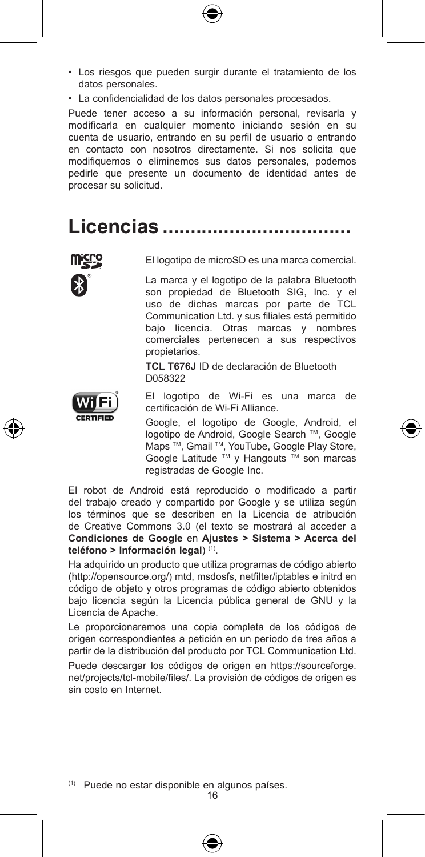- • Los riesgos que pueden surgir durante el tratamiento de los datos personales.
- • La confidencialidad de los datos personales procesados.

Puede tener acceso a su información personal, revisarla y modificarla en cualquier momento iniciando sesión en su cuenta de usuario, entrando en su perfil de usuario o entrando en contacto con nosotros directamente. Si nos solicita que modifiquemos o eliminemos sus datos personales, podemos pedirle que presente un documento de identidad antes de procesar su solicitud.

# **Licencias ����������������������������������**

|                  | El logotipo de microSD es una marca comercial.                                                                                                                                                                                                                                                 |
|------------------|------------------------------------------------------------------------------------------------------------------------------------------------------------------------------------------------------------------------------------------------------------------------------------------------|
|                  | La marca y el logotipo de la palabra Bluetooth<br>son propiedad de Bluetooth SIG, Inc. y el<br>uso de dichas marcas por parte de TCL<br>Communication Ltd. y sus filiales está permitido<br>bajo licencia. Otras marcas y nombres<br>comerciales pertenecen a sus respectivos<br>propietarios. |
|                  | TCL T676J ID de declaración de Bluetooth<br>D058322                                                                                                                                                                                                                                            |
|                  | El logotipo de Wi-Fi es una marca de<br>certificación de Wi-Fi Alliance.                                                                                                                                                                                                                       |
| <b>CERTIFIED</b> | Google, el logotipo de Google, Android, el<br>logotipo de Android, Google Search ™, Google<br>Maps ™, Gmail ™, YouTube, Google Play Store,<br>Google Latitude ™ y Hangouts ™ son marcas<br>registradas de Google Inc.                                                                          |

El robot de Android está reproducido o modificado a partir del trabajo creado y compartido por Google y se utiliza según los términos que se describen en la Licencia de atribución de Creative Commons 3.0 (el texto se mostrará al acceder a **Condiciones de Google** en **Ajustes > Sistema > Acerca del teléfono > Información legal**) (1).

Ha adquirido un producto que utiliza programas de código abierto (http://opensource.org/) mtd, msdosfs, netfilter/iptables e initrd en código de objeto y otros programas de código abierto obtenidos bajo licencia según la Licencia pública general de GNU y la Licencia de Apache.

Le proporcionaremos una copia completa de los códigos de origen correspondientes a petición en un período de tres años a partir de la distribución del producto por TCL Communication Ltd.

Puede descargar los códigos de origen en https://sourceforge. net/projects/tcl-mobile/files/. La provisión de códigos de origen es sin costo en Internet.

(1) Puede no estar disponible en algunos países.